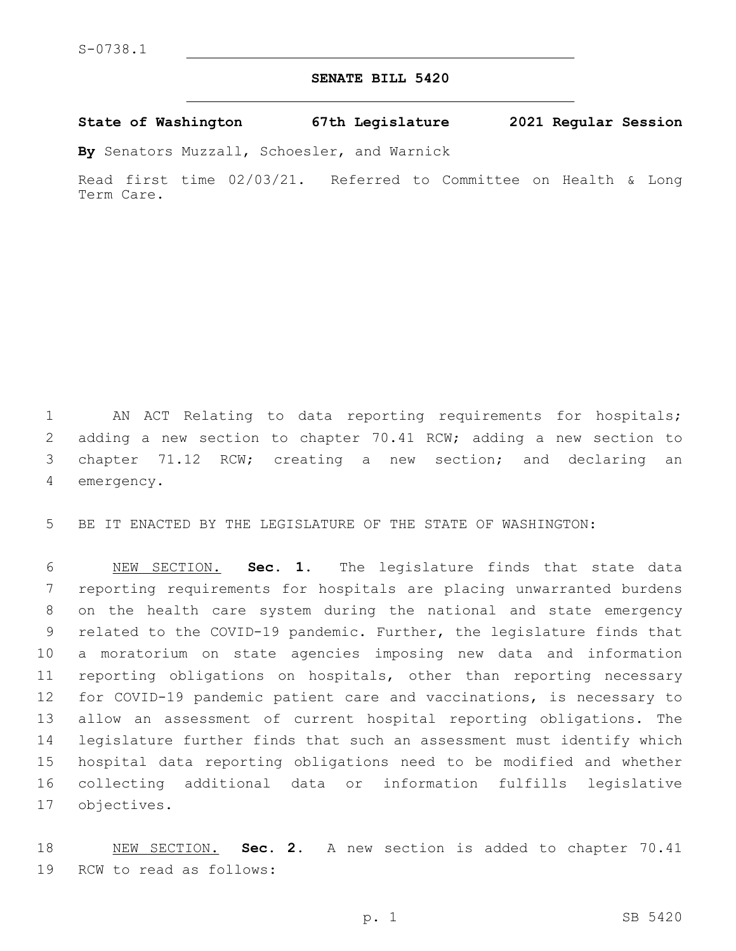## **SENATE BILL 5420**

**State of Washington 67th Legislature 2021 Regular Session**

**By** Senators Muzzall, Schoesler, and Warnick

Read first time 02/03/21. Referred to Committee on Health & Long Term Care.

 AN ACT Relating to data reporting requirements for hospitals; adding a new section to chapter 70.41 RCW; adding a new section to chapter 71.12 RCW; creating a new section; and declaring an 4 emergency.

BE IT ENACTED BY THE LEGISLATURE OF THE STATE OF WASHINGTON:

 NEW SECTION. **Sec. 1.** The legislature finds that state data reporting requirements for hospitals are placing unwarranted burdens on the health care system during the national and state emergency related to the COVID-19 pandemic. Further, the legislature finds that a moratorium on state agencies imposing new data and information reporting obligations on hospitals, other than reporting necessary for COVID-19 pandemic patient care and vaccinations, is necessary to allow an assessment of current hospital reporting obligations. The legislature further finds that such an assessment must identify which hospital data reporting obligations need to be modified and whether collecting additional data or information fulfills legislative objectives.

 NEW SECTION. **Sec. 2.** A new section is added to chapter 70.41 19 RCW to read as follows: